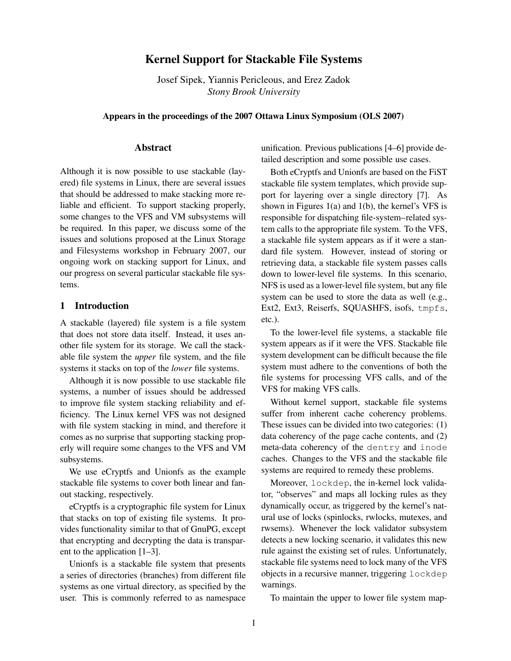# **Kernel Support for Stackable File Systems**

Josef Sipek, Yiannis Pericleous, and Erez Zadok *Stony Brook University*

**Appears in the proceedings of the 2007 Ottawa Linux Symposium (OLS 2007)**

## **Abstract**

Although it is now possible to use stackable (layered) file systems in Linux, there are several issues that should be addressed to make stacking more reliable and efficient. To support stacking properly, some changes to the VFS and VM subsystems will be required. In this paper, we discuss some of the issues and solutions proposed at the Linux Storage and Filesystems workshop in February 2007, our ongoing work on stacking support for Linux, and our progress on several particular stackable file systems.

#### **1 Introduction**

A stackable (layered) file system is a file system that does not store data itself. Instead, it uses another file system for its storage. We call the stackable file system the *upper* file system, and the file systems it stacks on top of the *lower* file systems.

Although it is now possible to use stackable file systems, a number of issues should be addressed to improve file system stacking reliability and efficiency. The Linux kernel VFS was not designed with file system stacking in mind, and therefore it comes as no surprise that supporting stacking properly will require some changes to the VFS and VM subsystems.

We use eCryptfs and Unionfs as the example stackable file systems to cover both linear and fanout stacking, respectively.

eCryptfs is a cryptographic file system for Linux that stacks on top of existing file systems. It provides functionality similar to that of GnuPG, except that encrypting and decrypting the data is transparent to the application [1–3].

Unionfs is a stackable file system that presents a series of directories (branches) from different file systems as one virtual directory, as specified by the user. This is commonly referred to as namespace unification. Previous publications [4–6] provide detailed description and some possible use cases.

Both eCryptfs and Unionfs are based on the FiST stackable file system templates, which provide support for layering over a single directory [7]. As shown in Figures 1(a) and 1(b), the kernel's VFS is responsible for dispatching file-system–related system calls to the appropriate file system. To the VFS, a stackable file system appears as if it were a standard file system. However, instead of storing or retrieving data, a stackable file system passes calls down to lower-level file systems. In this scenario, NFS is used as a lower-level file system, but any file system can be used to store the data as well (e.g., Ext2, Ext3, Reiserfs, SQUASHFS, isofs, tmpfs, etc.).

To the lower-level file systems, a stackable file system appears as if it were the VFS. Stackable file system development can be difficult because the file system must adhere to the conventions of both the file systems for processing VFS calls, and of the VFS for making VFS calls.

Without kernel support, stackable file systems suffer from inherent cache coherency problems. These issues can be divided into two categories: (1) data coherency of the page cache contents, and (2) meta-data coherency of the dentry and inode caches. Changes to the VFS and the stackable file systems are required to remedy these problems.

Moreover, lockdep, the in-kernel lock validator, "observes" and maps all locking rules as they dynamically occur, as triggered by the kernel's natural use of locks (spinlocks, rwlocks, mutexes, and rwsems). Whenever the lock validator subsystem detects a new locking scenario, it validates this new rule against the existing set of rules. Unfortunately, stackable file systems need to lock many of the VFS objects in a recursive manner, triggering lockdep warnings.

To maintain the upper to lower file system map-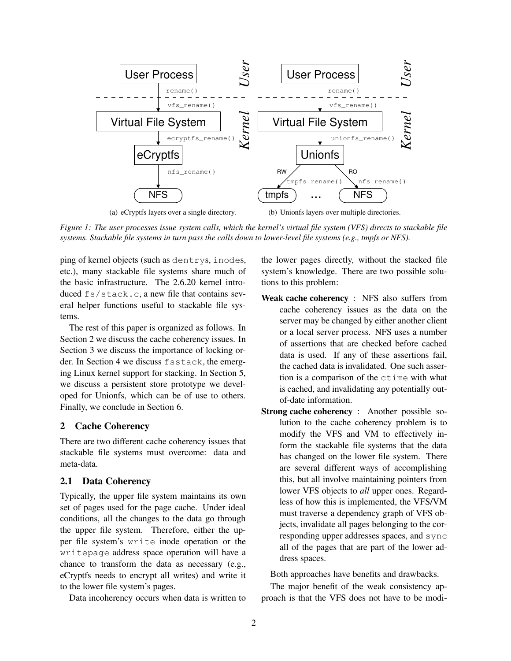

Figure 1: The user processes issue system calls, which the kernel's virtual file system (VFS) directs to stackable file systems. Stackable file systems in turn pass the calls down to lower-level file systems (e.g., tmpfs or NFS).

ping of kernel objects (such as dentrys, inodes, etc.), many stackable file systems share much of the basic infrastructure. The 2.6.20 kernel introduced fs/stack.c, a new file that contains several helper functions useful to stackable file systems.

The rest of this paper is organized as follows. In Section 2 we discuss the cache coherency issues. In Section 3 we discuss the importance of locking order. In Section 4 we discuss fsstack, the emerging Linux kernel support for stacking. In Section 5, we discuss a persistent store prototype we developed for Unionfs, which can be of use to others. Finally, we conclude in Section 6.

## **2 Cache Coherency**

There are two different cache coherency issues that stackable file systems must overcome: data and meta-data.

## **2.1 Data Coherency**

Typically, the upper file system maintains its own set of pages used for the page cache. Under ideal conditions, all the changes to the data go through the upper file system. Therefore, either the upper file system's write inode operation or the writepage address space operation will have a chance to transform the data as necessary (e.g., eCryptfs needs to encrypt all writes) and write it to the lower file system's pages.

Data incoherency occurs when data is written to

the lower pages directly, without the stacked file system's knowledge. There are two possible solutions to this problem:

- **Weak cache coherency** : NFS also suffers from cache coherency issues as the data on the server may be changed by either another client or a local server process. NFS uses a number of assertions that are checked before cached data is used. If any of these assertions fail, the cached data is invalidated. One such assertion is a comparison of the ctime with what is cached, and invalidating any potentially outof-date information.
- **Strong cache coherency** : Another possible solution to the cache coherency problem is to modify the VFS and VM to effectively inform the stackable file systems that the data has changed on the lower file system. There are several different ways of accomplishing this, but all involve maintaining pointers from lower VFS objects to *all* upper ones. Regardless of how this is implemented, the VFS/VM must traverse a dependency graph of VFS objects, invalidate all pages belonging to the corresponding upper addresses spaces, and sync all of the pages that are part of the lower address spaces.

Both approaches have benefits and drawbacks.

The major benefit of the weak consistency approach is that the VFS does not have to be modi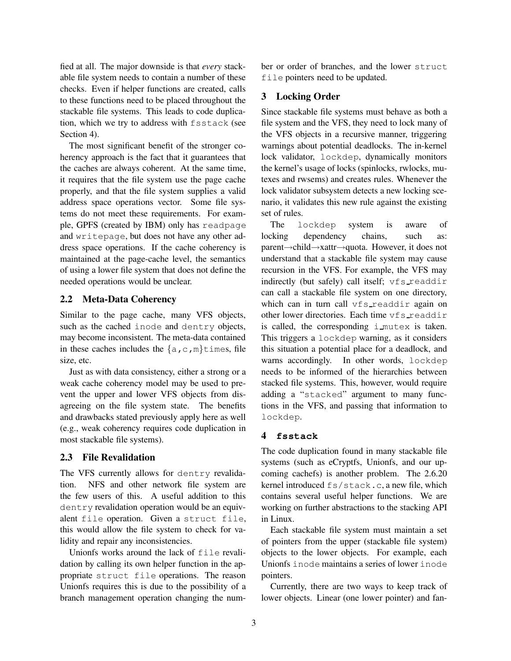fied at all. The major downside is that *every* stackable file system needs to contain a number of these checks. Even if helper functions are created, calls to these functions need to be placed throughout the stackable file systems. This leads to code duplication, which we try to address with fsstack (see Section 4).

The most significant benefit of the stronger coherency approach is the fact that it guarantees that the caches are always coherent. At the same time, it requires that the file system use the page cache properly, and that the file system supplies a valid address space operations vector. Some file systems do not meet these requirements. For example, GPFS (created by IBM) only has readpage and writepage, but does not have any other address space operations. If the cache coherency is maintained at the page-cache level, the semantics of using a lower file system that does not define the needed operations would be unclear.

#### **2.2 Meta-Data Coherency**

Similar to the page cache, many VFS objects, such as the cached inode and dentry objects, may become inconsistent. The meta-data contained in these caches includes the  $\{a, c, m\}$ times, file size, etc.

Just as with data consistency, either a strong or a weak cache coherency model may be used to prevent the upper and lower VFS objects from disagreeing on the file system state. The benefits and drawbacks stated previously apply here as well (e.g., weak coherency requires code duplication in most stackable file systems).

#### **2.3 File Revalidation**

The VFS currently allows for dentry revalidation. NFS and other network file system are the few users of this. A useful addition to this dentry revalidation operation would be an equivalent file operation. Given a struct file, this would allow the file system to check for validity and repair any inconsistencies.

Unionfs works around the lack of file revalidation by calling its own helper function in the appropriate struct file operations. The reason Unionfs requires this is due to the possibility of a branch management operation changing the number or order of branches, and the lower struct file pointers need to be updated.

## **3 Locking Order**

Since stackable file systems must behave as both a file system and the VFS, they need to lock many of the VFS objects in a recursive manner, triggering warnings about potential deadlocks. The in-kernel lock validator, lockdep, dynamically monitors the kernel's usage of locks (spinlocks, rwlocks, mutexes and rwsems) and creates rules. Whenever the lock validator subsystem detects a new locking scenario, it validates this new rule against the existing set of rules.

The lockdep system is aware of locking dependency chains, such as: parent→child→xattr→quota. However, it does not understand that a stackable file system may cause recursion in the VFS. For example, the VFS may indirectly (but safely) call itself;  $vfs$ -readdir can call a stackable file system on one directory, which can in turn call vfs readdir again on other lower directories. Each time vfs readdir is called, the corresponding i mutex is taken. This triggers a lockdep warning, as it considers this situation a potential place for a deadlock, and warns accordingly. In other words, lockdep needs to be informed of the hierarchies between stacked file systems. This, however, would require adding a "stacked" argument to many functions in the VFS, and passing that information to lockdep.

#### **4 fsstack**

The code duplication found in many stackable file systems (such as eCryptfs, Unionfs, and our upcoming cachefs) is another problem. The 2.6.20 kernel introduced fs/stack.c, a new file, which contains several useful helper functions. We are working on further abstractions to the stacking API in Linux.

Each stackable file system must maintain a set of pointers from the upper (stackable file system) objects to the lower objects. For example, each Unionfs inode maintains a series of lower inode pointers.

Currently, there are two ways to keep track of lower objects. Linear (one lower pointer) and fan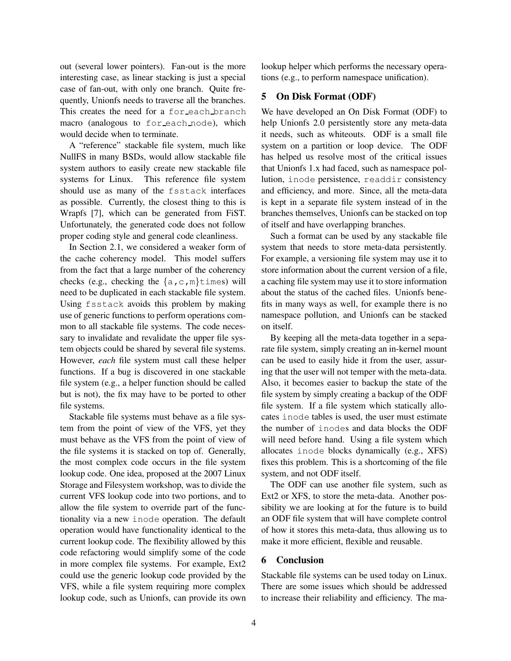out (several lower pointers). Fan-out is the more interesting case, as linear stacking is just a special case of fan-out, with only one branch. Quite frequently, Unionfs needs to traverse all the branches. This creates the need for a for each branch macro (analogous to for each node), which would decide when to terminate.

A "reference" stackable file system, much like NullFS in many BSDs, would allow stackable file system authors to easily create new stackable file systems for Linux. This reference file system should use as many of the fsstack interfaces as possible. Currently, the closest thing to this is Wrapfs [7], which can be generated from FiST. Unfortunately, the generated code does not follow proper coding style and general code cleanliness.

In Section 2.1, we considered a weaker form of the cache coherency model. This model suffers from the fact that a large number of the coherency checks (e.g., checking the  $\{a, c, m\}$ times) will need to be duplicated in each stackable file system. Using fsstack avoids this problem by making use of generic functions to perform operations common to all stackable file systems. The code necessary to invalidate and revalidate the upper file system objects could be shared by several file systems. However, *each* file system must call these helper functions. If a bug is discovered in one stackable file system (e.g., a helper function should be called but is not), the fix may have to be ported to other file systems.

Stackable file systems must behave as a file system from the point of view of the VFS, yet they must behave as the VFS from the point of view of the file systems it is stacked on top of. Generally, the most complex code occurs in the file system lookup code. One idea, proposed at the 2007 Linux Storage and Filesystem workshop, was to divide the current VFS lookup code into two portions, and to allow the file system to override part of the functionality via a new inode operation. The default operation would have functionality identical to the current lookup code. The flexibility allowed by this code refactoring would simplify some of the code in more complex file systems. For example, Ext2 could use the generic lookup code provided by the VFS, while a file system requiring more complex lookup code, such as Unionfs, can provide its own

lookup helper which performs the necessary operations (e.g., to perform namespace unification).

## **5 On Disk Format (ODF)**

We have developed an On Disk Format (ODF) to help Unionfs 2.0 persistently store any meta-data it needs, such as whiteouts. ODF is a small file system on a partition or loop device. The ODF has helped us resolve most of the critical issues that Unionfs 1.x had faced, such as namespace pollution, inode persistence, readdir consistency and efficiency, and more. Since, all the meta-data is kept in a separate file system instead of in the branches themselves, Unionfs can be stacked on top of itself and have overlapping branches.

Such a format can be used by any stackable file system that needs to store meta-data persistently. For example, a versioning file system may use it to store information about the current version of a file, a caching file system may use it to store information about the status of the cached files. Unionfs benefits in many ways as well, for example there is no namespace pollution, and Unionfs can be stacked on itself.

By keeping all the meta-data together in a separate file system, simply creating an in-kernel mount can be used to easily hide it from the user, assuring that the user will not temper with the meta-data. Also, it becomes easier to backup the state of the file system by simply creating a backup of the ODF file system. If a file system which statically allocates inode tables is used, the user must estimate the number of inodes and data blocks the ODF will need before hand. Using a file system which allocates inode blocks dynamically (e.g., XFS) fixes this problem. This is a shortcoming of the file system, and not ODF itself.

The ODF can use another file system, such as Ext2 or XFS, to store the meta-data. Another possibility we are looking at for the future is to build an ODF file system that will have complete control of how it stores this meta-data, thus allowing us to make it more efficient, flexible and reusable.

# **6 Conclusion**

Stackable file systems can be used today on Linux. There are some issues which should be addressed to increase their reliability and efficiency. The ma